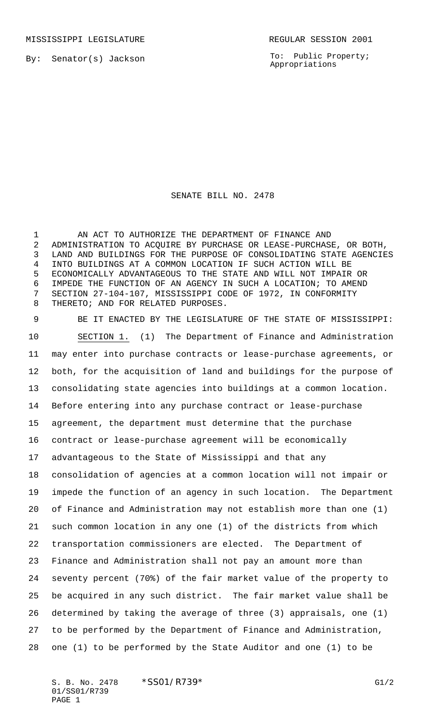By: Senator(s) Jackson

To: Public Property; Appropriations

## SENATE BILL NO. 2478

1 AN ACT TO AUTHORIZE THE DEPARTMENT OF FINANCE AND ADMINISTRATION TO ACQUIRE BY PURCHASE OR LEASE-PURCHASE, OR BOTH, LAND AND BUILDINGS FOR THE PURPOSE OF CONSOLIDATING STATE AGENCIES INTO BUILDINGS AT A COMMON LOCATION IF SUCH ACTION WILL BE ECONOMICALLY ADVANTAGEOUS TO THE STATE AND WILL NOT IMPAIR OR IMPEDE THE FUNCTION OF AN AGENCY IN SUCH A LOCATION; TO AMEND SECTION 27-104-107, MISSISSIPPI CODE OF 1972, IN CONFORMITY THERETO; AND FOR RELATED PURPOSES.

 BE IT ENACTED BY THE LEGISLATURE OF THE STATE OF MISSISSIPPI: SECTION 1. (1) The Department of Finance and Administration may enter into purchase contracts or lease-purchase agreements, or both, for the acquisition of land and buildings for the purpose of consolidating state agencies into buildings at a common location. Before entering into any purchase contract or lease-purchase agreement, the department must determine that the purchase contract or lease-purchase agreement will be economically advantageous to the State of Mississippi and that any consolidation of agencies at a common location will not impair or impede the function of an agency in such location. The Department of Finance and Administration may not establish more than one (1) such common location in any one (1) of the districts from which transportation commissioners are elected. The Department of Finance and Administration shall not pay an amount more than seventy percent (70%) of the fair market value of the property to be acquired in any such district. The fair market value shall be determined by taking the average of three (3) appraisals, one (1) to be performed by the Department of Finance and Administration, one (1) to be performed by the State Auditor and one (1) to be

S. B. No. 2478 \* SS01/R739\* G1/2 01/SS01/R739 PAGE 1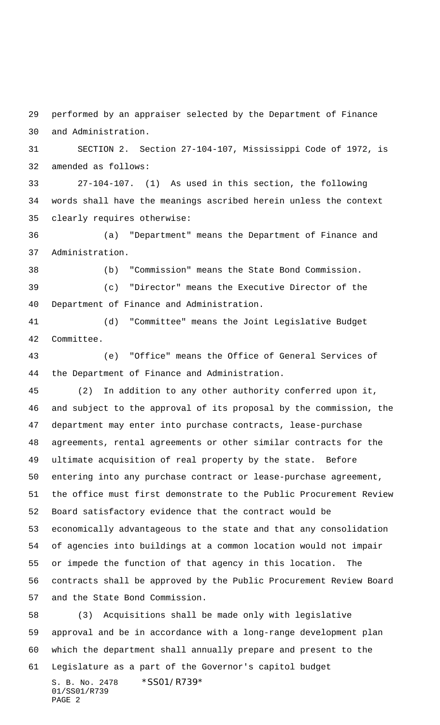performed by an appraiser selected by the Department of Finance and Administration.

 SECTION 2. Section 27-104-107, Mississippi Code of 1972, is amended as follows:

 27-104-107. (1) As used in this section, the following words shall have the meanings ascribed herein unless the context clearly requires otherwise:

 (a) "Department" means the Department of Finance and Administration.

(b) "Commission" means the State Bond Commission.

 (c) "Director" means the Executive Director of the Department of Finance and Administration.

 (d) "Committee" means the Joint Legislative Budget Committee.

 (e) "Office" means the Office of General Services of the Department of Finance and Administration.

 (2) In addition to any other authority conferred upon it, and subject to the approval of its proposal by the commission, the department may enter into purchase contracts, lease-purchase agreements, rental agreements or other similar contracts for the ultimate acquisition of real property by the state. Before entering into any purchase contract or lease-purchase agreement, the office must first demonstrate to the Public Procurement Review Board satisfactory evidence that the contract would be economically advantageous to the state and that any consolidation of agencies into buildings at a common location would not impair or impede the function of that agency in this location. The contracts shall be approved by the Public Procurement Review Board and the State Bond Commission.

 (3) Acquisitions shall be made only with legislative approval and be in accordance with a long-range development plan which the department shall annually prepare and present to the Legislature as a part of the Governor's capitol budget

S. B. No. 2478 \* SS01/R739\* 01/SS01/R739 PAGE 2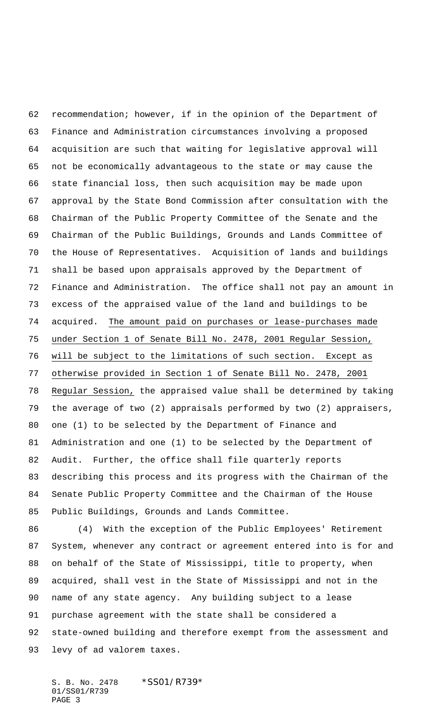recommendation; however, if in the opinion of the Department of Finance and Administration circumstances involving a proposed acquisition are such that waiting for legislative approval will not be economically advantageous to the state or may cause the state financial loss, then such acquisition may be made upon approval by the State Bond Commission after consultation with the Chairman of the Public Property Committee of the Senate and the Chairman of the Public Buildings, Grounds and Lands Committee of the House of Representatives. Acquisition of lands and buildings shall be based upon appraisals approved by the Department of Finance and Administration. The office shall not pay an amount in excess of the appraised value of the land and buildings to be acquired. The amount paid on purchases or lease-purchases made under Section 1 of Senate Bill No. 2478, 2001 Regular Session, will be subject to the limitations of such section. Except as otherwise provided in Section 1 of Senate Bill No. 2478, 2001 Regular Session, the appraised value shall be determined by taking the average of two (2) appraisals performed by two (2) appraisers, one (1) to be selected by the Department of Finance and Administration and one (1) to be selected by the Department of Audit. Further, the office shall file quarterly reports describing this process and its progress with the Chairman of the Senate Public Property Committee and the Chairman of the House Public Buildings, Grounds and Lands Committee.

 (4) With the exception of the Public Employees' Retirement System, whenever any contract or agreement entered into is for and on behalf of the State of Mississippi, title to property, when acquired, shall vest in the State of Mississippi and not in the name of any state agency. Any building subject to a lease purchase agreement with the state shall be considered a state-owned building and therefore exempt from the assessment and levy of ad valorem taxes.

S. B. No. 2478 \* SS01/R739\* 01/SS01/R739 PAGE 3